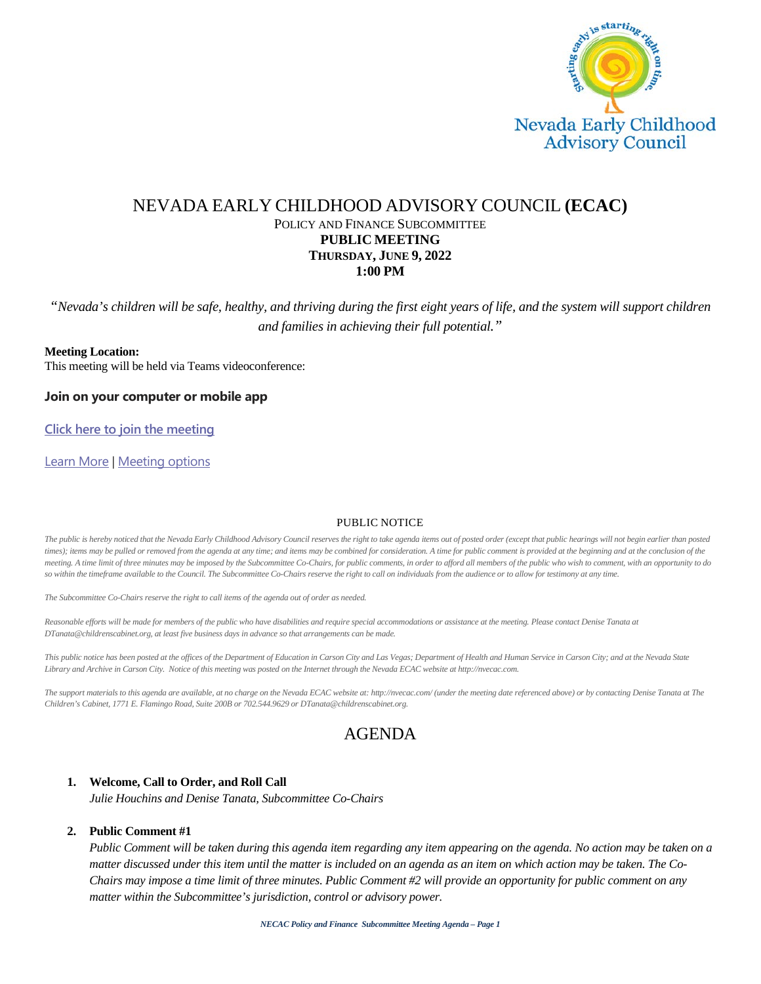

## NEVADA EARLY CHILDHOOD ADVISORY COUNCIL **(ECAC)** POLICY AND FINANCE SUBCOMMITTEE **PUBLIC MEETING THURSDAY, JUNE 9, 2022 1:00 PM**

*"Nevada's children will be safe, healthy, and thriving during the first eight years of life, and the system will support children and families in achieving their full potential."*

### **Meeting Location:**

This meeting will be held via Teams videoconference:

**Join on your computer or mobile app**

**[Click here to join the meeting](https://teams.microsoft.com/l/meetup-join/19%3ameeting_ZDg2OTczODYtODRmMi00YzRiLWEwZDEtNWNjYWEzNjhhYmZl%40thread.v2/0?context=%7b%22Tid%22%3a%2279ba5f34-3adf-4b67-a319-49c7b03a429f%22%2c%22Oid%22%3a%221d561be2-e2c0-4e59-8e44-60a39df27762%22%7d)**

[Learn More](https://aka.ms/JoinTeamsMeeting) | [Meeting options](https://teams.microsoft.com/meetingOptions/?organizerId=1d561be2-e2c0-4e59-8e44-60a39df27762&tenantId=79ba5f34-3adf-4b67-a319-49c7b03a429f&threadId=19_meeting_ZDg2OTczODYtODRmMi00YzRiLWEwZDEtNWNjYWEzNjhhYmZl@thread.v2&messageId=0&language=en-US)

#### PUBLIC NOTICE

The public is hereby noticed that the Nevada Early Childhood Advisory Council reserves the right to take agenda items out of posted order (except that public hearings will not begin earlier than posted times); items may be pulled or removed from the agenda at any time; and items may be combined for consideration. A time for public comment is provided at the beginning and at the conclusion of the *meeting. A time limit of three minutes may be imposed by the Subcommittee Co-Chairs, for public comments, in order to afford all members of the public who wish to comment, with an opportunity to do so within the timeframe available to the Council. The Subcommittee Co-Chairs reserve the right to call on individuals from the audience or to allow for testimony at any time.*

*The Subcommittee Co-Chairs reserve the right to call items of the agenda out of order as needed.*

Reasonable efforts will be made for members of the public who have disabilities and require special accommodations or assistance at the meeting. Please contact Denise Tanata at *DTanata@childrenscabinet.org, at least five business days in advance so that arrangements can be made.*

*This public notice has been posted at the offices of the Department of Education in Carson City and Las Vegas; Department of Health and Human Service in Carson City; and at the Nevada State Library and Archive in Carson City. Notice of this meeting was posted on the Internet through the Nevada ECAC website at http://nvecac.com.*

*The support materials to this agenda are available, at no charge on the Nevada ECAC website at: http://nvecac.com/ (under the meeting date referenced above) or by contacting Denise Tanata at The Children's Cabinet, 1771 E. Flamingo Road, Suite 200B or 702.544.9629 or DTanata@childrenscabinet.org.*

# AGENDA

### **1. Welcome, Call to Order, and Roll Call**

*Julie Houchins and Denise Tanata, Subcommittee Co-Chairs*

### **2. Public Comment #1**

*Public Comment will be taken during this agenda item regarding any item appearing on the agenda. No action may be taken on a matter discussed under this item until the matter is included on an agenda as an item on which action may be taken. The Co-Chairs may impose a time limit of three minutes. Public Comment #2 will provide an opportunity for public comment on any matter within the Subcommittee's jurisdiction, control or advisory power.*